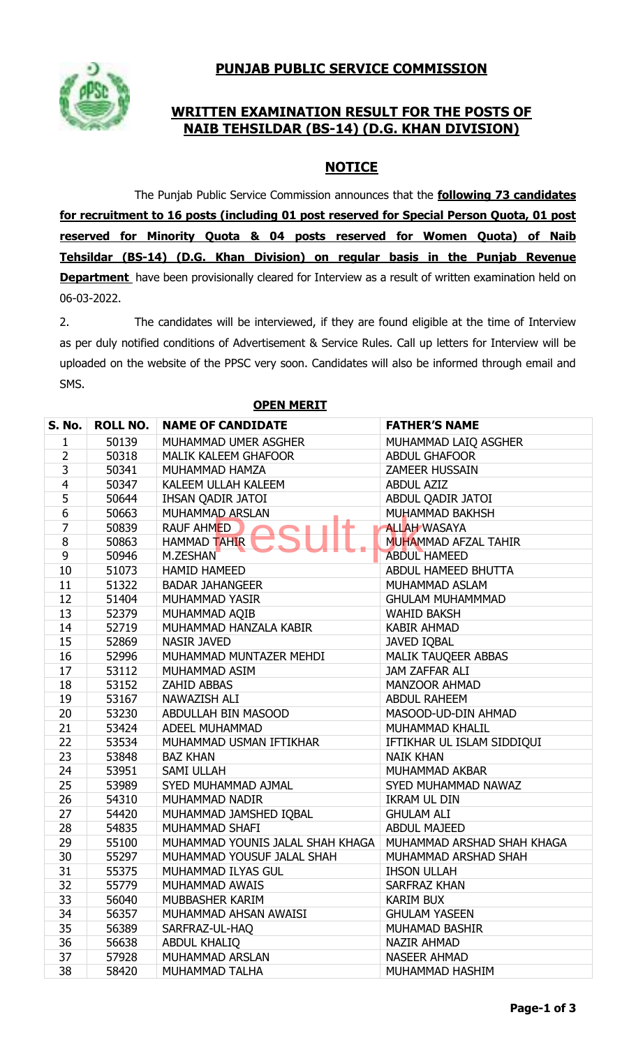## **PUNJAB PUBLIC SERVICE COMMISSION**



## **WRITTEN EXAMINATION RESULT FOR THE POSTS OF NAIB TEHSILDAR (BS-14) (D.G. KHAN DIVISION)**

## **NOTICE**

The Punjab Public Service Commission announces that the **following 73 candidates for recruitment to 16 posts (including 01 post reserved for Special Person Quota, 01 post reserved for Minority Quota & 04 posts reserved for Women Quota) of Naib Tehsildar (BS-14) (D.G. Khan Division) on regular basis in the Punjab Revenue Department** have been provisionally cleared for Interview as a result of written examination held on 06-03-2022.

2. The candidates will be interviewed, if they are found eligible at the time of Interview as per duly notified conditions of Advertisement & Service Rules. Call up letters for Interview will be uploaded on the website of the PPSC very soon. Candidates will also be informed through email and SMS.

| S. No.         | <b>ROLL NO.</b> | <b>NAME OF CANDIDATE</b>         | <b>FATHER'S NAME</b>        |
|----------------|-----------------|----------------------------------|-----------------------------|
| 1              | 50139           | MUHAMMAD UMER ASGHER             | MUHAMMAD LAIQ ASGHER        |
| $\overline{2}$ | 50318           | <b>MALIK KALEEM GHAFOOR</b>      | <b>ABDUL GHAFOOR</b>        |
| 3              | 50341           | MUHAMMAD HAMZA                   | <b>ZAMEER HUSSAIN</b>       |
| 4              | 50347           | KALEEM ULLAH KALEEM              | <b>ABDUL AZIZ</b>           |
| 5              | 50644           | IHSAN QADIR JATOI                | ABDUL QADIR JATOI           |
| 6              | 50663           | MUHAMMAD ARSLAN                  | MUHAMMAD BAKHSH             |
| 7              | 50839           | <b>RAUF AHMED</b>                | <b>ALLAH WASAYA</b>         |
| 8              | 50863           | <b>HAMMAD TAHIR</b>              | <b>MUHAMMAD AFZAL TAHIR</b> |
| 9              | 50946           | M.ZESHAN                         | <b>ABDUL HAMEED</b>         |
| 10             | 51073           | <b>HAMID HAMEED</b>              | ABDUL HAMEED BHUTTA         |
| 11             | 51322           | <b>BADAR JAHANGEER</b>           | MUHAMMAD ASLAM              |
| 12             | 51404           | MUHAMMAD YASIR                   | <b>GHULAM MUHAMMMAD</b>     |
| 13             | 52379           | MUHAMMAD AQIB                    | <b>WAHID BAKSH</b>          |
| 14             | 52719           | MUHAMMAD HANZALA KABIR           | <b>KABIR AHMAD</b>          |
| 15             | 52869           | <b>NASIR JAVED</b>               | <b>JAVED IQBAL</b>          |
| 16             | 52996           | MUHAMMAD MUNTAZER MEHDI          | MALIK TAUQEER ABBAS         |
| 17             | 53112           | MUHAMMAD ASIM                    | JAM ZAFFAR ALI              |
| 18             | 53152           | <b>ZAHID ABBAS</b>               | <b>MANZOOR AHMAD</b>        |
| 19             | 53167           | NAWAZISH ALI                     | <b>ABDUL RAHEEM</b>         |
| 20             | 53230           | ABDULLAH BIN MASOOD              | MASOOD-UD-DIN AHMAD         |
| 21             | 53424           | ADEEL MUHAMMAD                   | MUHAMMAD KHALIL             |
| 22             | 53534           | MUHAMMAD USMAN IFTIKHAR          | IFTIKHAR UL ISLAM SIDDIQUI  |
| 23             | 53848           | <b>BAZ KHAN</b>                  | <b>NAIK KHAN</b>            |
| 24             | 53951           | SAMI ULLAH                       | MUHAMMAD AKBAR              |
| 25             | 53989           | SYED MUHAMMAD AJMAL              | SYED MUHAMMAD NAWAZ         |
| 26             | 54310           | MUHAMMAD NADIR                   | <b>IKRAM UL DIN</b>         |
| 27             | 54420           | MUHAMMAD JAMSHED IQBAL           | <b>GHULAM ALI</b>           |
| 28             | 54835           | MUHAMMAD SHAFI                   | <b>ABDUL MAJEED</b>         |
| 29             | 55100           | MUHAMMAD YOUNIS JALAL SHAH KHAGA | MUHAMMAD ARSHAD SHAH KHAGA  |
| 30             | 55297           | MUHAMMAD YOUSUF JALAL SHAH       | MUHAMMAD ARSHAD SHAH        |
| 31             | 55375           | MUHAMMAD ILYAS GUL               | <b>IHSON ULLAH</b>          |
| 32             | 55779           | MUHAMMAD AWAIS                   | SARFRAZ KHAN                |
| 33             | 56040           | MUBBASHER KARIM                  | <b>KARIM BUX</b>            |
| 34             | 56357           | MUHAMMAD AHSAN AWAISI            | <b>GHULAM YASEEN</b>        |
| 35             | 56389           | SARFRAZ-UL-HAQ                   | MUHAMAD BASHIR              |
| 36             | 56638           | <b>ABDUL KHALIQ</b>              | <b>NAZIR AHMAD</b>          |
| 37             | 57928           | MUHAMMAD ARSLAN                  | <b>NASEER AHMAD</b>         |
| 38             | 58420           | MUHAMMAD TALHA                   | MUHAMMAD HASHIM             |

#### **OPEN MERIT**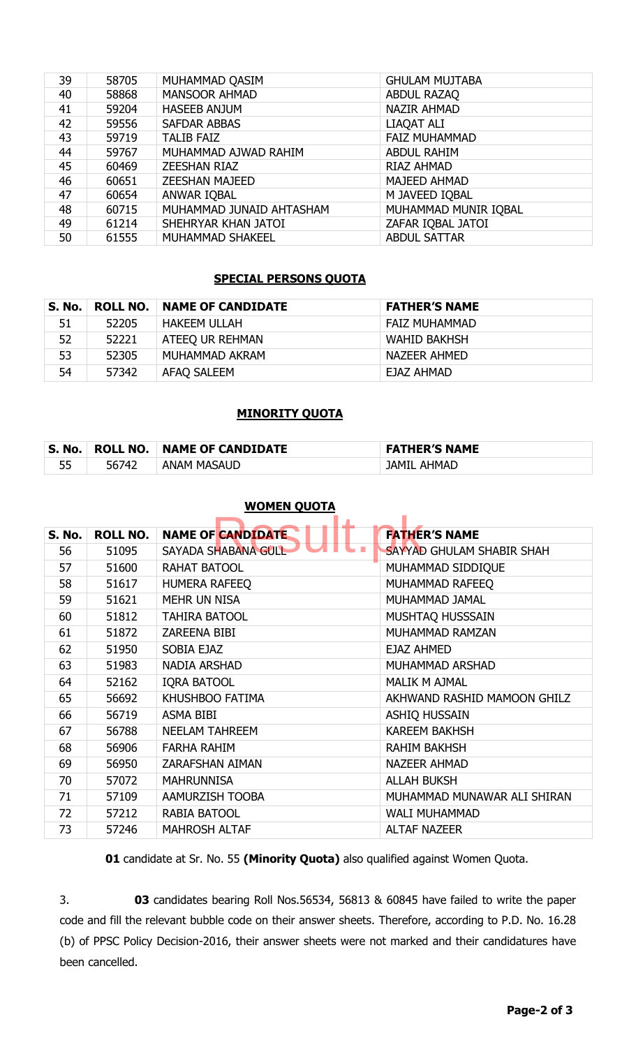| 39 | 58705 | MUHAMMAD QASIM           | <b>GHULAM MUJTABA</b> |
|----|-------|--------------------------|-----------------------|
| 40 | 58868 | <b>MANSOOR AHMAD</b>     | <b>ABDUL RAZAQ</b>    |
| 41 | 59204 | <b>HASEEB ANJUM</b>      | <b>NAZIR AHMAD</b>    |
| 42 | 59556 | <b>SAFDAR ABBAS</b>      | LIAQAT ALI            |
| 43 | 59719 | <b>TALIB FAIZ</b>        | <b>FAIZ MUHAMMAD</b>  |
| 44 | 59767 | MUHAMMAD AJWAD RAHIM     | <b>ABDUL RAHIM</b>    |
| 45 | 60469 | <b>ZEESHAN RIAZ</b>      | RIAZ AHMAD            |
| 46 | 60651 | <b>ZEESHAN MAJEED</b>    | <b>MAJEED AHMAD</b>   |
| 47 | 60654 | ANWAR IQBAL              | M JAVEED IQBAL        |
| 48 | 60715 | MUHAMMAD JUNAID AHTASHAM | MUHAMMAD MUNIR IQBAL  |
| 49 | 61214 | SHEHRYAR KHAN JATOI      | ZAFAR IQBAL JATOI     |
| 50 | 61555 | <b>MUHAMMAD SHAKEEL</b>  | <b>ABDUL SATTAR</b>   |

### **SPECIAL PERSONS QUOTA**

| S. No. | <b>ROLL NO.</b> | <b>NAME OF CANDIDATE</b> | <b>FATHER'S NAME</b> |
|--------|-----------------|--------------------------|----------------------|
| 51     | 52205           | HAKEEM ULLAH             | <b>FAIZ MUHAMMAD</b> |
| 52     | 52221           | ATEEQ UR REHMAN          | WAHID BAKHSH         |
| 53     | 52305           | MUHAMMAD AKRAM           | NAZEER AHMED         |
| 54     | 57342           | AFAQ SALEEM              | EJAZ AHMAD           |

#### **MINORITY QUOTA**

| S. No. | $\overline{\phantom{a}}$ ROLL NO. | . NAME OF CANDIDATE | <b>FATHER'S NAME</b> |
|--------|-----------------------------------|---------------------|----------------------|
| 55     | 56742                             | <b>ANAM MASAUD</b>  | <b>JAMIL AHMAD</b>   |

#### **WOMEN QUOTA**

| <b>S. No.</b> | <b>ROLL NO.</b> | <b>NAME OF CANDIDATE</b> | <b>FATHER'S NAME</b>        |
|---------------|-----------------|--------------------------|-----------------------------|
| 56            | 51095           | SAYADA SHABANA GULL      | SAYYAD GHULAM SHABIR SHAH   |
| 57            | 51600           | <b>RAHAT BATOOL</b>      | MUHAMMAD SIDDIQUE           |
| 58            | 51617           | <b>HUMERA RAFEEQ</b>     | MUHAMMAD RAFEEQ             |
| 59            | 51621           | <b>MEHR UN NISA</b>      | MUHAMMAD JAMAL              |
| 60            | 51812           | <b>TAHIRA BATOOL</b>     | MUSHTAQ HUSSSAIN            |
| 61            | 51872           | <b>ZAREENA BIBI</b>      | MUHAMMAD RAMZAN             |
| 62            | 51950           | SOBIA EJAZ               | <b>EJAZ AHMED</b>           |
| 63            | 51983           | <b>NADIA ARSHAD</b>      | MUHAMMAD ARSHAD             |
| 64            | 52162           | <b>IQRA BATOOL</b>       | <b>MALIK M AJMAL</b>        |
| 65            | 56692           | KHUSHBOO FATIMA          | AKHWAND RASHID MAMOON GHILZ |
| 66            | 56719           | ASMA BIBI                | <b>ASHIQ HUSSAIN</b>        |
| 67            | 56788           | <b>NEELAM TAHREEM</b>    | <b>KAREEM BAKHSH</b>        |
| 68            | 56906           | <b>FARHA RAHIM</b>       | <b>RAHIM BAKHSH</b>         |
| 69            | 56950           | <b>ZARAFSHAN AIMAN</b>   | <b>NAZEER AHMAD</b>         |
| 70            | 57072           | <b>MAHRUNNISA</b>        | <b>ALLAH BUKSH</b>          |
| 71            | 57109           | AAMURZISH TOOBA          | MUHAMMAD MUNAWAR ALI SHIRAN |
| 72            | 57212           | <b>RABIA BATOOL</b>      | <b>WALI MUHAMMAD</b>        |
| 73            | 57246           | <b>MAHROSH ALTAF</b>     | <b>ALTAF NAZEER</b>         |

candidate at Sr. No. 55 **(Minority Quota)** also qualified against Women Quota.

3. **03** candidates bearing Roll Nos.56534, 56813 & 60845 have failed to write the paper code and fill the relevant bubble code on their answer sheets. Therefore, according to P.D. No. 16.28 (b) of PPSC Policy Decision-2016, their answer sheets were not marked and their candidatures have been cancelled.